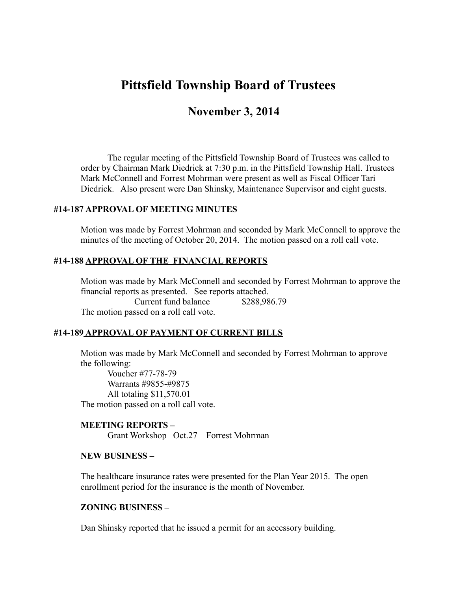# **Pittsfield Township Board of Trustees**

# **November 3, 2014**

The regular meeting of the Pittsfield Township Board of Trustees was called to order by Chairman Mark Diedrick at 7:30 p.m. in the Pittsfield Township Hall. Trustees Mark McConnell and Forrest Mohrman were present as well as Fiscal Officer Tari Diedrick. Also present were Dan Shinsky, Maintenance Supervisor and eight guests.

### **#14-187 APPROVAL OF MEETING MINUTES**

Motion was made by Forrest Mohrman and seconded by Mark McConnell to approve the minutes of the meeting of October 20, 2014. The motion passed on a roll call vote.

### **#14-188 APPROVAL OF THE FINANCIAL REPORTS**

Motion was made by Mark McConnell and seconded by Forrest Mohrman to approve the financial reports as presented. See reports attached. Current fund balance \$288,986.79 The motion passed on a roll call vote.

## **#14-189 APPROVAL OF PAYMENT OF CURRENT BILLS**

Motion was made by Mark McConnell and seconded by Forrest Mohrman to approve the following:

Voucher #77-78-79 Warrants #9855-#9875 All totaling \$11,570.01 The motion passed on a roll call vote.

# **MEETING REPORTS –**  Grant Workshop –Oct.27 – Forrest Mohrman

## **NEW BUSINESS –**

The healthcare insurance rates were presented for the Plan Year 2015. The open enrollment period for the insurance is the month of November.

#### **ZONING BUSINESS –**

Dan Shinsky reported that he issued a permit for an accessory building.